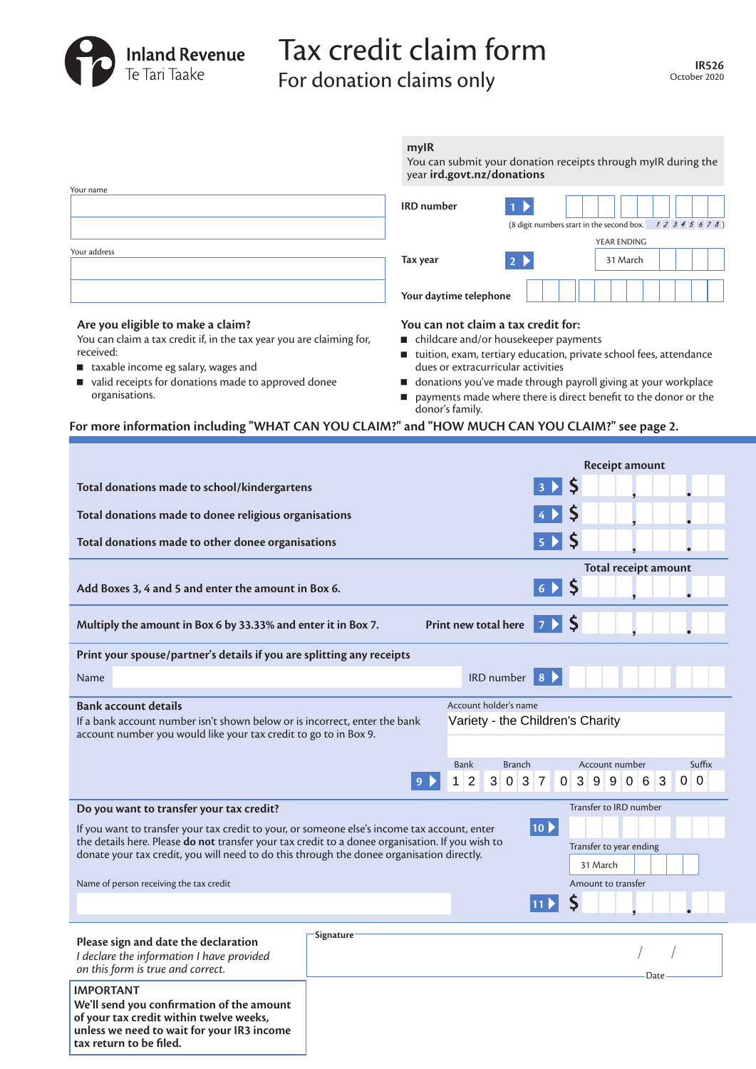

**tax return to be filed.**

# Tax credit claim form For donation claims only

|                                                                                                                                                                                                  | mylR<br>You can submit your donation receipts through myIR during the<br>year ird.govt.nz/donations |                     |                                                                 |                                                        |                           |                |          |                             |      |     |        |
|--------------------------------------------------------------------------------------------------------------------------------------------------------------------------------------------------|-----------------------------------------------------------------------------------------------------|---------------------|-----------------------------------------------------------------|--------------------------------------------------------|---------------------------|----------------|----------|-----------------------------|------|-----|--------|
| Your name                                                                                                                                                                                        | <b>IRD</b> number                                                                                   |                     |                                                                 |                                                        |                           |                |          |                             |      |     |        |
|                                                                                                                                                                                                  |                                                                                                     |                     |                                                                 | (8 digit numbers start in the second box. $12345678$ ) |                           |                |          |                             |      |     |        |
| Your address                                                                                                                                                                                     |                                                                                                     |                     |                                                                 |                                                        |                           |                |          | YEAR ENDING                 |      |     |        |
|                                                                                                                                                                                                  | Tax year                                                                                            |                     |                                                                 | 2 <sup>1</sup>                                         |                           |                |          | 31 March                    |      |     |        |
|                                                                                                                                                                                                  | Your daytime telephone                                                                              |                     |                                                                 |                                                        |                           |                |          |                             |      |     |        |
| Are you eligible to make a claim?                                                                                                                                                                | You can not claim a tax credit for:                                                                 |                     |                                                                 |                                                        |                           |                |          |                             |      |     |        |
| You can claim a tax credit if, in the tax year you are claiming for,<br>received:                                                                                                                | ■ childcare and/or housekeeper payments                                                             |                     |                                                                 |                                                        |                           |                |          |                             |      |     |        |
| ■ taxable income eg salary, wages and                                                                                                                                                            | ■ tuition, exam, tertiary education, private school fees, attendance                                |                     | dues or extracurricular activities                              |                                                        |                           |                |          |                             |      |     |        |
| valid receipts for donations made to approved donee                                                                                                                                              | ■ donations you've made through payroll giving at your workplace                                    |                     |                                                                 |                                                        |                           |                |          |                             |      |     |        |
| organisations.                                                                                                                                                                                   | ш                                                                                                   | donor's family.     | payments made where there is direct benefit to the donor or the |                                                        |                           |                |          |                             |      |     |        |
| For more information including "WHAT CAN YOU CLAIM?" and "HOW MUCH CAN YOU CLAIM?" see page 2.                                                                                                   |                                                                                                     |                     |                                                                 |                                                        |                           |                |          |                             |      |     |        |
|                                                                                                                                                                                                  |                                                                                                     |                     |                                                                 |                                                        |                           |                |          |                             |      |     |        |
|                                                                                                                                                                                                  |                                                                                                     |                     |                                                                 |                                                        |                           |                |          | Receipt amount              |      |     |        |
| Total donations made to school/kindergartens                                                                                                                                                     |                                                                                                     |                     |                                                                 |                                                        | 3 <sub>2</sub>            |                |          |                             |      |     |        |
| Total donations made to donee religious organisations                                                                                                                                            |                                                                                                     |                     |                                                                 |                                                        | $4 \triangleright$        |                |          |                             |      |     |        |
| Total donations made to other donee organisations                                                                                                                                                |                                                                                                     |                     |                                                                 |                                                        | $5 \mid$                  | <b>S</b>       |          |                             |      |     |        |
|                                                                                                                                                                                                  |                                                                                                     |                     |                                                                 |                                                        |                           |                |          | <b>Total receipt amount</b> |      |     |        |
| Add Boxes 3, 4 and 5 and enter the amount in Box 6.                                                                                                                                              |                                                                                                     |                     |                                                                 |                                                        | $6 \n\blacktriangleright$ | <b>S</b>       |          |                             |      |     |        |
| Multiply the amount in Box 6 by 33.33% and enter it in Box 7.                                                                                                                                    |                                                                                                     |                     | Print new total here                                            | $\mathcal{I}$                                          |                           |                |          |                             |      |     |        |
| Print your spouse/partner's details if you are splitting any receipts                                                                                                                            |                                                                                                     |                     |                                                                 |                                                        |                           |                |          |                             |      |     |        |
| Name                                                                                                                                                                                             |                                                                                                     |                     | <b>IRD</b> number                                               | 8 <sup>°</sup>                                         |                           |                |          |                             |      |     |        |
| <b>Bank account details</b>                                                                                                                                                                      |                                                                                                     |                     | Account holder's name                                           |                                                        |                           |                |          |                             |      |     |        |
| If a bank account number isn't shown below or is incorrect, enter the bank<br>account number you would like your tax credit to go to in Box 9.                                                   |                                                                                                     |                     | Variety - the Children's Charity                                |                                                        |                           |                |          |                             |      |     |        |
|                                                                                                                                                                                                  |                                                                                                     | <b>Bank</b>         |                                                                 | <b>Branch</b>                                          |                           |                |          | Account number              |      |     | Suffix |
|                                                                                                                                                                                                  |                                                                                                     | $\overline{2}$<br>1 | 3<br>0                                                          | $\sqrt{3}$<br>7                                        | 0                         | 3 <sup>1</sup> | 9        | 906                         | 3    | 0 0 |        |
|                                                                                                                                                                                                  |                                                                                                     |                     |                                                                 |                                                        |                           |                |          |                             |      |     |        |
| Do you want to transfer your tax credit?                                                                                                                                                         |                                                                                                     |                     |                                                                 |                                                        |                           |                |          | Transfer to IRD number      |      |     |        |
| If you want to transfer your tax credit to your, or someone else's income tax account, enter<br>the details here. Please do not transfer your tax credit to a donee organisation. If you wish to |                                                                                                     |                     |                                                                 | $ 10\rangle$                                           |                           |                |          |                             |      |     |        |
| donate your tax credit, you will need to do this through the donee organisation directly.                                                                                                        |                                                                                                     |                     |                                                                 |                                                        |                           |                |          | Transfer to year ending     |      |     |        |
|                                                                                                                                                                                                  |                                                                                                     |                     |                                                                 |                                                        |                           |                | 31 March |                             |      |     |        |
| Name of person receiving the tax credit                                                                                                                                                          |                                                                                                     |                     |                                                                 |                                                        |                           |                |          | Amount to transfer          |      |     |        |
|                                                                                                                                                                                                  |                                                                                                     |                     |                                                                 | 11 $\blacktriangleright$                               |                           |                |          |                             |      |     |        |
| Signature                                                                                                                                                                                        |                                                                                                     |                     |                                                                 |                                                        |                           |                |          |                             |      |     |        |
| Please sign and date the declaration<br>I declare the information I have provided                                                                                                                |                                                                                                     |                     |                                                                 |                                                        |                           |                |          |                             |      |     |        |
| on this form is true and correct.                                                                                                                                                                |                                                                                                     |                     |                                                                 |                                                        |                           |                |          |                             | Date |     |        |
| <b>IMPORTANT</b>                                                                                                                                                                                 |                                                                                                     |                     |                                                                 |                                                        |                           |                |          |                             |      |     |        |
| We'll send you confirmation of the amount                                                                                                                                                        |                                                                                                     |                     |                                                                 |                                                        |                           |                |          |                             |      |     |        |
| of your tax credit within twelve weeks,<br>unless we need to wait for your IR3 income                                                                                                            |                                                                                                     |                     |                                                                 |                                                        |                           |                |          |                             |      |     |        |